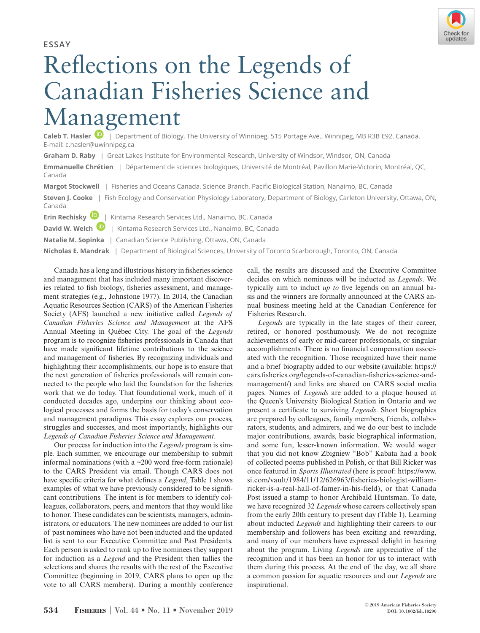Check for updates

**ESSAY**

## Reflections on the Legends of Canadian Fisheries Science and Ma[na](https://orcid.org/0000-0003-3242-7415)gement

Caleb T. Hasler **D**  $\overline{1}$  Department of Biology, The University of Winnipeg, 515 Portage Ave., Winnipeg, MB R3B E92, Canada. E-mail: c.hasler@uwinnipeg.ca

**Graham D. Raby** | Great Lakes Institute for Environmental Research, University of Windsor, Windsor, ON, Canada

**Emmanuelle Chrétien** | Département de sciences biologiques, Université de Montréal, Pavillon Marie-Victorin, Montréal, QC, Canada

**Margot Stockwell** | Fisheries and Oceans Canada, Science Branch, Pacific Biological Station, Nanaimo, BC, Canada **Steven J. Cooke** | Fish Ecology and Conservation Physiology Laboratory, Department of Biology, Carleton University, Ottawa, ON, Canada **Erin Rechisky**[|](https://orcid.org/0000-0001-8851-5436) Kintama Research Services Ltd., Nanaimo, BC, Canada

**David W. Welch <b>D** | Kintama Research Services Ltd., Nanaimo, BC, Canada

**Natalie M. Sopinka** | Canadian Science Publishing, Ottawa, ON, Canada

**Nicholas E. Mandrak** | Department of Biological Sciences, University of Toronto Scarborough, Toronto, ON, Canada

Canada has a long and illustrious history in fisheries science and management that has included many important discoveries related to fish biology, fisheries assessment, and management strategies (e.g., Johnstone 1977). In 2014, the Canadian Aquatic Resources Section (CARS) of the American Fisheries Society (AFS) launched a new initiative called *Legends of Canadian Fisheries Science and Management* at the AFS Annual Meeting in Québec City. The goal of the *Legends* program is to recognize fisheries professionals in Canada that have made significant lifetime contributions to the science and management of fisheries. By recognizing individuals and highlighting their accomplishments, our hope is to ensure that the next generation of fisheries professionals will remain connected to the people who laid the foundation for the fisheries work that we do today. That foundational work, much of it conducted decades ago, underpins our thinking about ecological processes and forms the basis for today's conservation and management paradigms. This essay explores our process, struggles and successes, and most importantly, highlights our *Legends of Canadian Fisheries Science and Management*.

Our process for induction into the *Legends* program is simple. Each summer, we encourage our membership to submit informal nominations (with a ~200 word free-form rationale) to the CARS President via email. Though CARS does not have specific criteria for what defines a *Legend*, Table 1 shows examples of what we have previously considered to be significant contributions*.* The intent is for members to identify colleagues, collaborators, peers, and mentors that they would like to honor. These candidates can be scientists, managers, administrators, or educators. The new nominees are added to our list of past nominees who have not been inducted and the updated list is sent to our Executive Committee and Past Presidents. Each person is asked to rank up to five nominees they support for induction as a *Legend* and the President then tallies the selections and shares the results with the rest of the Executive Committee (beginning in 2019, CARS plans to open up the vote to all CARS members). During a monthly conference call, the results are discussed and the Executive Committee decides on which nominees will be inducted as *Legends*. We typically aim to induct *up to* five legends on an annual basis and the winners are formally announced at the CARS annual business meeting held at the Canadian Conference for Fisheries Research.

*Legends* are typically in the late stages of their career, retired, or honored posthumously. We do not recognize achievements of early or mid-career professionals, or singular accomplishments. There is no financial compensation associated with the recognition. Those recognized have their name and a brief biography added to our website (available: [https://](https://cars.fisheries.org/legends-of-canadian-fisheries-science-and-management/) [cars.fisheries.org/legends-of-canadian-fisheries-science-and](https://cars.fisheries.org/legends-of-canadian-fisheries-science-and-management/)[management/](https://cars.fisheries.org/legends-of-canadian-fisheries-science-and-management/)) and links are shared on CARS social media pages. Names of *Legends* are added to a plaque housed at the Queen's University Biological Station in Ontario and we present a certificate to surviving *Legends*. Short biographies are prepared by colleagues, family members, friends, collaborators, students, and admirers, and we do our best to include major contributions, awards, basic biographical information, and some fun, lesser-known information. We would wager that you did not know Zbigniew "Bob" Kabata had a book of collected poems published in Polish, or that Bill Ricker was once featured in *Sports Illustrated* (here is proof: [https://www.](https://www.si.com/vault/1984/11/12/626963/fisheries-biologist-william-ricker-is-a-real-hall-of-famer-in-his-field) [si.com/vault/1984/11/12/626963/fisheries-biologist-william](https://www.si.com/vault/1984/11/12/626963/fisheries-biologist-william-ricker-is-a-real-hall-of-famer-in-his-field)[ricker-is-a-real-hall-of-famer-in-his-field](https://www.si.com/vault/1984/11/12/626963/fisheries-biologist-william-ricker-is-a-real-hall-of-famer-in-his-field)), or that Canada Post issued a stamp to honor Archibald Huntsman. To date, we have recognized 32 *Legends* whose careers collectively span from the early 20th century to present day (Table 1). Learning about inducted *Legends* and highlighting their careers to our membership and followers has been exciting and rewarding, and many of our members have expressed delight in hearing about the program. Living *Legends* are appreciative of the recognition and it has been an honor for us to interact with them during this process. At the end of the day, we all share a common passion for aquatic resources and our *Legends* are inspirational.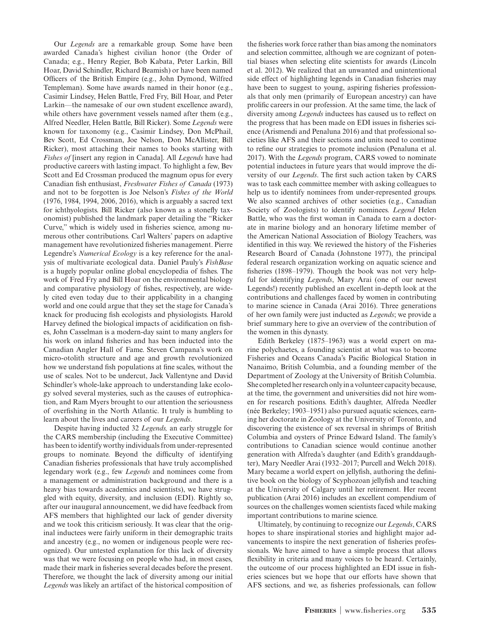Our *Legends* are a remarkable group. Some have been awarded Canada's highest civilian honor (the Order of Canada; e.g., Henry Regier, Bob Kabata, Peter Larkin, Bill Hoar, David Schindler, Richard Beamish) or have been named Officers of the British Empire (e.g., John Dymond, Wilfred Templeman). Some have awards named in their honor (e.g., Casimir Lindsey, Helen Battle, Fred Fry, Bill Hoar, and Peter Larkin—the namesake of our own student excellence award), while others have government vessels named after them (e.g., Alfred Needler, Helen Battle, Bill Ricker). Some *Legends* were known for taxonomy (e.g., Casimir Lindsey, Don McPhail, Bev Scott, Ed Crossman, Joe Nelson, Don McAllister, Bill Ricker), most attaching their names to books starting with *Fishes of* [insert any region in Canada]. All *Legends* have had productive careers with lasting impact. To highlight a few, Bev Scott and Ed Crossman produced the magnum opus for every Canadian fish enthusiast, *Freshwater Fishes of Canada* (1973) and not to be forgotten is Joe Nelson's *Fishes of the World* (1976, 1984, 1994, 2006, 2016), which is arguably a sacred text for ichthyologists. Bill Ricker (also known as a stonefly taxonomist) published the landmark paper detailing the "Ricker Curve," which is widely used in fisheries science, among numerous other contributions. Carl Walters' papers on adaptive management have revolutionized fisheries management. Pierre Legendre's *Numerical Ecology* is a key reference for the analysis of multivariate ecological data. Daniel Pauly's *FishBase* is a hugely popular online global encyclopedia of fishes. The work of Fred Fry and Bill Hoar on the environmental biology and comparative physiology of fishes, respectively, are widely cited even today due to their applicability in a changing world and one could argue that they set the stage for Canada's knack for producing fish ecologists and physiologists. Harold Harvey defined the biological impacts of acidification on fishes, John Casselman is a modern-day saint to many anglers for his work on inland fisheries and has been inducted into the Canadian Angler Hall of Fame. Steven Campana's work on micro-otolith structure and age and growth revolutionized how we understand fish populations at fine scales, without the use of scales. Not to be undercut, Jack Vallentyne and David Schindler's whole-lake approach to understanding lake ecology solved several mysteries, such as the causes of eutrophication, and Ram Myers brought to our attention the seriousness of overfishing in the North Atlantic. It truly is humbling to learn about the lives and careers of our *Legends*.

Despite having inducted 32 *Legends,* an early struggle for the CARS membership (including the Executive Committee) has been to identify worthy individuals from under-represented groups to nominate. Beyond the difficulty of identifying Canadian fisheries professionals that have truly accomplished legendary work (e.g., few *Legends* and nominees come from a management or administration background and there is a heavy bias towards academics and scientists), we have struggled with equity, diversity, and inclusion (EDI). Rightly so, after our inaugural announcement, we did have feedback from AFS members that highlighted our lack of gender diversity and we took this criticism seriously. It was clear that the original inductees were fairly uniform in their demographic traits and ancestry (e.g., no women or indigenous people were recognized). Our untested explanation for this lack of diversity was that we were focusing on people who had, in most cases, made their mark in fisheries several decades before the present. Therefore, we thought the lack of diversity among our initial *Legends* was likely an artifact of the historical composition of

the fisheries work force rather than bias among the nominators and selection committee, although we are cognizant of potential biases when selecting elite scientists for awards (Lincoln et al. 2012). We realized that an unwanted and unintentional side effect of highlighting legends in Canadian fisheries may have been to suggest to young, aspiring fisheries professionals that only men (primarily of European ancestry) can have prolific careers in our profession. At the same time, the lack of diversity among *Legends* inductees has caused us to reflect on the progress that has been made on EDI issues in fisheries science (Arismendi and Penaluna 2016) and that professional societies like AFS and their sections and units need to continue to refine our strategies to promote inclusion (Penaluna et al. 2017). With the *Legends* program, CARS vowed to nominate potential inductees in future years that would improve the diversity of our *Legends*. The first such action taken by CARS was to task each committee member with asking colleagues to help us to identify nominees from under-represented groups. We also scanned archives of other societies (e.g., Canadian Society of Zoologists) to identify nominees. *Legend* Helen Battle, who was the first woman in Canada to earn a doctorate in marine biology and an honorary lifetime member of the American National Association of Biology Teachers, was identified in this way. We reviewed the history of the Fisheries Research Board of Canada (Johnstone 1977), the principal federal research organization working on aquatic science and fisheries (1898–1979). Though the book was not very helpful for identifying *Legends*, Mary Arai (one of our newest Legends!) recently published an excellent in-depth look at the contributions and challenges faced by women in contributing to marine science in Canada (Arai 2016). Three generations of her own family were just inducted as *Legends*; we provide a brief summary here to give an overview of the contribution of the women in this dynasty.

Edith Berkeley (1875–1963) was a world expert on marine polychaetes, a founding scientist at what was to become Fisheries and Oceans Canada's Pacific Biological Station in Nanaimo, British Columbia, and a founding member of the Department of Zoology at the University of British Columbia. She completed her research only in a volunteer capacity because, at the time, the government and universities did not hire women for research positions. Edith's daughter, Alfreda Needler (née Berkeley; 1903–1951) also pursued aquatic sciences, earning her doctorate in Zoology at the University of Toronto, and discovering the existence of sex reversal in shrimps of British Columbia and oysters of Prince Edward Island. The family's contributions to Canadian science would continue another generation with Alfreda's daughter (and Edith's granddaughter), Mary Needler Arai (1932–2017; Purcell and Welch 2018). Mary became a world expert on jellyfish, authoring the definitive book on the biology of Scyphozoan jellyfish and teaching at the University of Calgary until her retirement. Her recent publication (Arai 2016) includes an excellent compendium of sources on the challenges women scientists faced while making important contributions to marine science.

Ultimately, by continuing to recognize our *Legends*, CARS hopes to share inspirational stories and highlight major advancements to inspire the next generation of fisheries professionals. We have aimed to have a simple process that allows flexibility in criteria and many voices to be heard. Certainly, the outcome of our process highlighted an EDI issue in fisheries sciences but we hope that our efforts have shown that AFS sections, and we, as fisheries professionals, can follow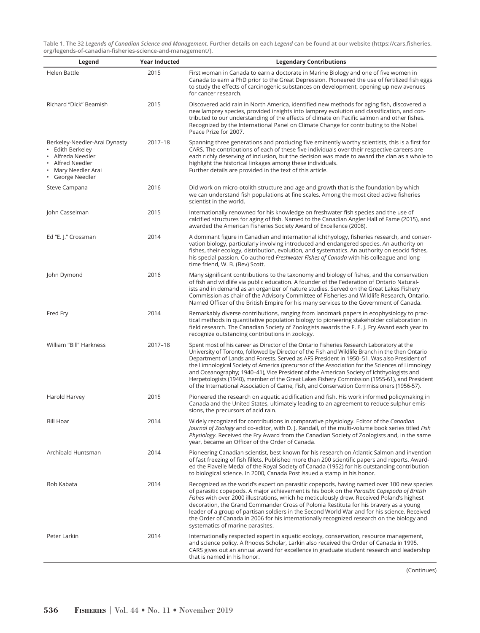**Table 1. The 32** *Legend***s** *of Canadian Science and Management.* **Further details on each** *Legend* **can be found at our website ([https://cars.fisheries.](https://cars.fisheries.org/legends-of-canadian-fisheries-science-and-management/) [org/legends-of-canadian-fisheries-science-and-management/](https://cars.fisheries.org/legends-of-canadian-fisheries-science-and-management/)).**

| Legend                                                                                                                          | <b>Year Inducted</b> | <b>Legendary Contributions</b>                                                                                                                                                                                                                                                                                                                                                                                                                                                                                                                                                                                                                                                        |
|---------------------------------------------------------------------------------------------------------------------------------|----------------------|---------------------------------------------------------------------------------------------------------------------------------------------------------------------------------------------------------------------------------------------------------------------------------------------------------------------------------------------------------------------------------------------------------------------------------------------------------------------------------------------------------------------------------------------------------------------------------------------------------------------------------------------------------------------------------------|
| Helen Battle                                                                                                                    | 2015                 | First woman in Canada to earn a doctorate in Marine Biology and one of five women in<br>Canada to earn a PhD prior to the Great Depression. Pioneered the use of fertilized fish eggs<br>to study the effects of carcinogenic substances on development, opening up new avenues<br>for cancer research.                                                                                                                                                                                                                                                                                                                                                                               |
| Richard "Dick" Beamish                                                                                                          | 2015                 | Discovered acid rain in North America, identified new methods for aging fish, discovered a<br>new lamprey species, provided insights into lamprey evolution and classification, and con-<br>tributed to our understanding of the effects of climate on Pacific salmon and other fishes.<br>Recognized by the International Panel on Climate Change for contributing to the Nobel<br>Peace Prize for 2007.                                                                                                                                                                                                                                                                             |
| Berkeley-Needler-Arai Dynasty<br>Edith Berkeley<br>• Alfreda Needler<br>Alfred Needler<br>Mary Needler Arai<br>• George Needler | 2017-18              | Spanning three generations and producing five eminently worthy scientists, this is a first for<br>CARS. The contributions of each of these five individuals over their respective careers are<br>each richly deserving of inclusion, but the decision was made to award the clan as a whole to<br>highlight the historical linkages among these individuals.<br>Further details are provided in the text of this article.                                                                                                                                                                                                                                                             |
| Steve Campana                                                                                                                   | 2016                 | Did work on micro-otolith structure and age and growth that is the foundation by which<br>we can understand fish populations at fine scales. Among the most cited active fisheries<br>scientist in the world.                                                                                                                                                                                                                                                                                                                                                                                                                                                                         |
| John Casselman                                                                                                                  | 2015                 | Internationally renowned for his knowledge on freshwater fish species and the use of<br>calcified structures for aging of fish. Named to the Canadian Angler Hall of Fame (2015), and<br>awarded the American Fisheries Society Award of Excellence (2008).                                                                                                                                                                                                                                                                                                                                                                                                                           |
| Ed "E. J." Crossman                                                                                                             | 2014                 | A dominant figure in Canadian and international ichthyology, fisheries research, and conser-<br>vation biology, particularly involving introduced and endangered species. An authority on<br>fishes, their ecology, distribution, evolution, and systematics. An authority on esocid fishes,<br>his special passion. Co-authored Freshwater Fishes of Canada with his colleague and long-<br>time friend, W. B. (Bev) Scott.                                                                                                                                                                                                                                                          |
| John Dymond                                                                                                                     | 2016                 | Many significant contributions to the taxonomy and biology of fishes, and the conservation<br>of fish and wildlife via public education. A founder of the Federation of Ontario Natural-<br>ists and in demand as an organizer of nature studies. Served on the Great Lakes Fishery<br>Commission as chair of the Advisory Committee of Fisheries and Wildlife Research, Ontario.<br>Named Officer of the British Empire for his many services to the Government of Canada.                                                                                                                                                                                                           |
| Fred Fry                                                                                                                        | 2014                 | Remarkably diverse contributions, ranging from landmark papers in ecophysiology to prac-<br>tical methods in quantitative population biology to pioneering stakeholder collaboration in<br>field research. The Canadian Society of Zoologists awards the F. E. J. Fry Award each year to<br>recognize outstanding contributions in zoology.                                                                                                                                                                                                                                                                                                                                           |
| William "Bill" Harkness                                                                                                         | 2017-18              | Spent most of his career as Director of the Ontario Fisheries Research Laboratory at the<br>University of Toronto, followed by Director of the Fish and Wildlife Branch in the then Ontario<br>Department of Lands and Forests. Served as AFS President in 1950-51. Was also President of<br>the Limnological Society of America (precursor of the Association for the Sciences of Limnology<br>and Oceanography; 1940-41), Vice President of the American Society of Ichthyologists and<br>Herpetologists (1940), member of the Great Lakes Fishery Commission (1955-61), and President<br>of the International Association of Game, Fish, and Conservation Commissioners (1956-57). |
| Harold Harvey                                                                                                                   | 2015                 | Pioneered the research on aquatic acidification and fish. His work informed policymaking in<br>Canada and the United States, ultimately leading to an agreement to reduce sulphur emis-<br>sions, the precursors of acid rain.                                                                                                                                                                                                                                                                                                                                                                                                                                                        |
| <b>Bill Hoar</b>                                                                                                                | 2014                 | Widely recognized for contributions in comparative physiology. Editor of the Canadian<br>Journal of Zoology and co-editor, with D. J. Randall, of the multi-volume book series titled Fish<br>Physiology. Received the Fry Award from the Canadian Society of Zoologists and, in the same<br>year, became an Officer of the Order of Canada.                                                                                                                                                                                                                                                                                                                                          |
| Archibald Huntsman                                                                                                              | 2014                 | Pioneering Canadian scientist, best known for his research on Atlantic Salmon and invention<br>of fast freezing of fish fillets. Published more than 200 scientific papers and reports. Award-<br>ed the Flavelle Medal of the Royal Society of Canada (1952) for his outstanding contribution<br>to biological science. In 2000, Canada Post issued a stamp in his honor.                                                                                                                                                                                                                                                                                                            |
| Bob Kabata                                                                                                                      | 2014                 | Recognized as the world's expert on parasitic copepods, having named over 100 new species<br>of parasitic copepods. A major achievement is his book on the <i>Parasitic Copepoda of British</i><br>Fishes with over 2000 illustrations, which he meticulously drew. Received Poland's highest<br>decoration, the Grand Commander Cross of Polonia Restituta for his bravery as a young<br>leader of a group of partisan soldiers in the Second World War and for his science. Received<br>the Order of Canada in 2006 for his internationally recognized research on the biology and<br>systematics of marine parasites.                                                              |
| Peter Larkin                                                                                                                    | 2014                 | Internationally respected expert in aquatic ecology, conservation, resource management,<br>and science policy. A Rhodes Scholar, Larkin also received the Order of Canada in 1995.<br>CARS gives out an annual award for excellence in graduate student research and leadership<br>that is named in his honor.                                                                                                                                                                                                                                                                                                                                                                        |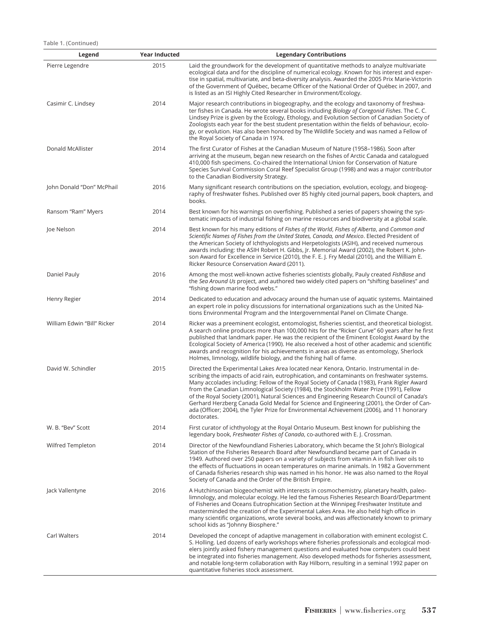**Table 1. (Continued)**

| Legend                      | <b>Year Inducted</b> | <b>Legendary Contributions</b>                                                                                                                                                                                                                                                                                                                                                                                                                                                                                                                                                                                                                                                       |
|-----------------------------|----------------------|--------------------------------------------------------------------------------------------------------------------------------------------------------------------------------------------------------------------------------------------------------------------------------------------------------------------------------------------------------------------------------------------------------------------------------------------------------------------------------------------------------------------------------------------------------------------------------------------------------------------------------------------------------------------------------------|
| Pierre Legendre             | 2015                 | Laid the groundwork for the development of quantitative methods to analyze multivariate<br>ecological data and for the discipline of numerical ecology. Known for his interest and exper-<br>tise in spatial, multivariate, and beta-diversity analysis. Awarded the 2005 Prix Marie-Victorin<br>of the Government of Québec, became Officer of the National Order of Québec in 2007, and<br>is listed as an ISI Highly Cited Researcher in Environment/Ecology.                                                                                                                                                                                                                     |
| Casimir C. Lindsey          | 2014                 | Major research contributions in biogeography, and the ecology and taxonomy of freshwa-<br>ter fishes in Canada. He wrote several books including Biology of Coregonid Fishes. The C. C.<br>Lindsey Prize is given by the Ecology, Ethology, and Evolution Section of Canadian Society of<br>Zoologists each year for the best student presentation within the fields of behaviour, ecolo-<br>gy, or evolution. Has also been honored by The Wildlife Society and was named a Fellow of<br>the Royal Society of Canada in 1974.                                                                                                                                                       |
| Donald McAllister           | 2014                 | The first Curator of Fishes at the Canadian Museum of Nature (1958–1986). Soon after<br>arriving at the museum, began new research on the fishes of Arctic Canada and catalogued<br>410,000 fish specimens. Co-chaired the International Union for Conservation of Nature<br>Species Survival Commission Coral Reef Specialist Group (1998) and was a major contributor<br>to the Canadian Biodiversity Strategy.                                                                                                                                                                                                                                                                    |
| John Donald "Don" McPhail   | 2016                 | Many significant research contributions on the speciation, evolution, ecology, and biogeog-<br>raphy of freshwater fishes. Published over 85 highly cited journal papers, book chapters, and<br>books.                                                                                                                                                                                                                                                                                                                                                                                                                                                                               |
| Ransom "Ram" Myers          | 2014                 | Best known for his warnings on overfishing. Published a series of papers showing the sys-<br>tematic impacts of industrial fishing on marine resources and biodiversity at a global scale.                                                                                                                                                                                                                                                                                                                                                                                                                                                                                           |
| Joe Nelson                  | 2014                 | Best known for his many editions of Fishes of the World, Fishes of Alberta, and Common and<br>Scientific Names of Fishes from the United States, Canada, and Mexico. Elected President of<br>the American Society of Ichthyologists and Herpetologists (ASIH), and received numerous<br>awards including: the ASIH Robert H. Gibbs, Jr. Memorial Award (2002), the Robert K. John-<br>son Award for Excellence in Service (2010), the F. E. J. Fry Medal (2010), and the William E.<br>Ricker Resource Conservation Award (2011).                                                                                                                                                    |
| Daniel Pauly                | 2016                 | Among the most well-known active fisheries scientists globally, Pauly created FishBase and<br>the Sea Around Us project, and authored two widely cited papers on "shifting baselines" and<br>"fishing down marine food webs."                                                                                                                                                                                                                                                                                                                                                                                                                                                        |
| Henry Regier                | 2014                 | Dedicated to education and advocacy around the human use of aquatic systems. Maintained<br>an expert role in policy discussions for international organizations such as the United Na-<br>tions Environmental Program and the Intergovernmental Panel on Climate Change.                                                                                                                                                                                                                                                                                                                                                                                                             |
| William Edwin "Bill" Ricker | 2014                 | Ricker was a preeminent ecologist, entomologist, fisheries scientist, and theoretical biologist.<br>A search online produces more than 100,000 hits for the "Ricker Curve" 60 years after he first<br>published that landmark paper. He was the recipient of the Eminent Ecologist Award by the<br>Ecological Society of America (1990). He also received a host of other academic and scientific<br>awards and recognition for his achievements in areas as diverse as entomology, Sherlock<br>Holmes, limnology, wildlife biology, and the fishing hall of fame.                                                                                                                   |
| David W. Schindler          | 2015                 | Directed the Experimental Lakes Area located near Kenora, Ontario. Instrumental in de-<br>scribing the impacts of acid rain, eutrophication, and contaminants on freshwater systems.<br>Many accolades including: Fellow of the Royal Society of Canada (1983), Frank Rigler Award<br>from the Canadian Limnological Society (1984), the Stockholm Water Prize (1991), Fellow<br>of the Royal Society (2001), Natural Sciences and Engineering Research Council of Canada's<br>Gerhard Herzberg Canada Gold Medal for Science and Engineering (2001), the Order of Can-<br>ada (Officer; 2004), the Tyler Prize for Environmental Achievement (2006), and 11 honorary<br>doctorates. |
| W. B. "Bev" Scott           | 2014                 | First curator of ichthyology at the Royal Ontario Museum. Best known for publishing the<br>legendary book, <i>Freshwater Fishes of Canada</i> , co-authored with E. J. Crossman.                                                                                                                                                                                                                                                                                                                                                                                                                                                                                                     |
| Wilfred Templeton           | 2014                 | Director of the Newfoundland Fisheries Laboratory, which became the St John's Biological<br>Station of the Fisheries Research Board after Newfoundland became part of Canada in<br>1949. Authored over 250 papers on a variety of subjects from vitamin A in fish liver oils to<br>the effects of fluctuations in ocean temperatures on marine animals. In 1982 a Government<br>of Canada fisheries research ship was named in his honor. He was also named to the Royal<br>Society of Canada and the Order of the British Empire.                                                                                                                                                   |
| Jack Vallentyne             | 2016                 | A Hutchinsonian biogeochemist with interests in cosmochemistry, planetary health, paleo-<br>limnology, and molecular ecology. He led the famous Fisheries Research Board/Department<br>of Fisheries and Oceans Eutrophication Section at the Winnipeg Freshwater Institute and<br>masterminded the creation of the Experimental Lakes Area. He also held high office in<br>many scientific organizations, wrote several books, and was affectionately known to primary<br>school kids as "Johnny Biosphere."                                                                                                                                                                         |
| Carl Walters                | 2014                 | Developed the concept of adaptive management in collaboration with eminent ecologist C.<br>S. Holling. Led dozens of early workshops where fisheries professionals and ecological mod-<br>elers jointly asked fishery management questions and evaluated how computers could best<br>be integrated into fisheries management. Also developed methods for fisheries assessment,<br>and notable long-term collaboration with Ray Hilborn, resulting in a seminal 1992 paper on<br>quantitative fisheries stock assessment.                                                                                                                                                             |